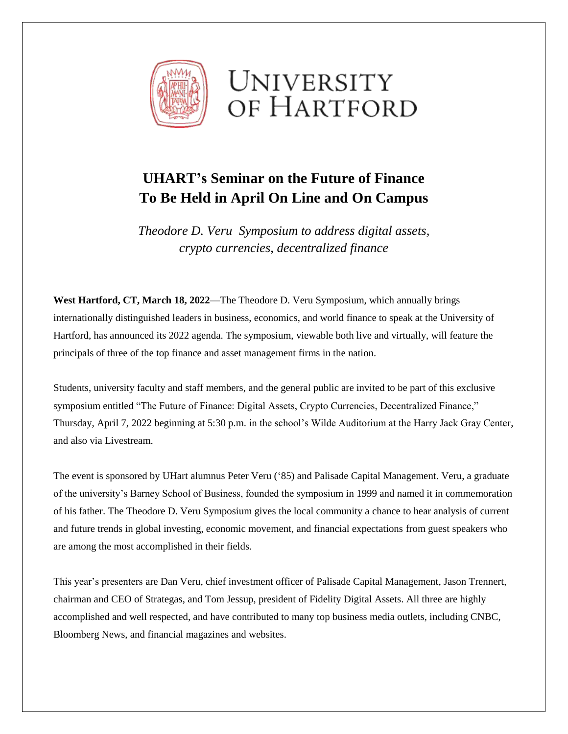



## **UHART's Seminar on the Future of Finance To Be Held in April On Line and On Campus**

*Theodore D. Veru Symposium to address digital assets, crypto currencies, decentralized finance*

**West Hartford, CT, March 18, 2022**—The Theodore D. Veru Symposium, which annually brings internationally distinguished leaders in business, economics, and world finance to speak at the University of Hartford, has announced its 2022 agenda. The symposium, viewable both live and virtually, will feature the principals of three of the top finance and asset management firms in the nation.

Students, university faculty and staff members, and the general public are invited to be part of this exclusive symposium entitled "The Future of Finance: Digital Assets, Crypto Currencies, Decentralized Finance," Thursday, April 7, 2022 beginning at 5:30 p.m. in the school's Wilde Auditorium at the Harry Jack Gray Center, and also via Livestream.

The event is sponsored by UHart alumnus Peter Veru ('85) and Palisade Capital Management. Veru, a graduate of the university's Barney School of Business, founded the symposium in 1999 and named it in commemoration of his father. The Theodore D. Veru Symposium gives the local community a chance to hear analysis of current and future trends in global investing, economic movement, and financial expectations from guest speakers who are among the most accomplished in their fields.

This year's presenters are Dan Veru, chief investment officer of Palisade Capital Management, Jason Trennert, chairman and CEO of Strategas, and Tom Jessup, president of Fidelity Digital Assets. All three are highly accomplished and well respected, and have contributed to many top business media outlets, including CNBC, Bloomberg News, and financial magazines and websites.